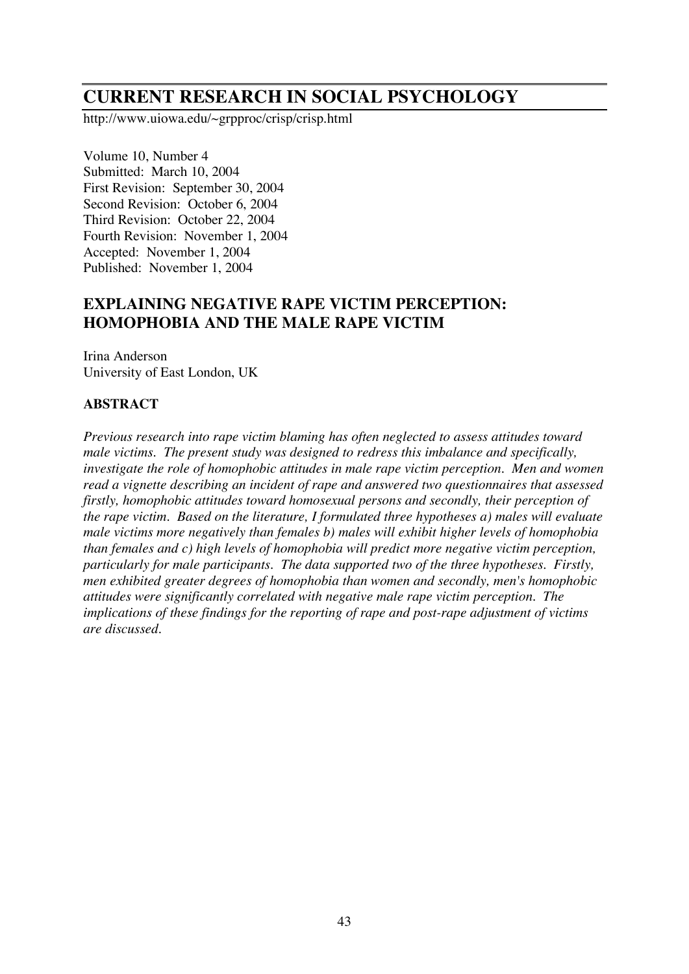# **CURRENT RESEARCH IN SOCIAL PSYCHOLOGY**

http://www.uiowa.edu/~grpproc/crisp/crisp.html

Volume 10, Number 4 Submitted: March 10, 2004 First Revision: September 30, 2004 Second Revision: October 6, 2004 Third Revision: October 22, 2004 Fourth Revision: November 1, 2004 Accepted: November 1, 2004 Published: November 1, 2004

# **EXPLAINING NEGATIVE RAPE VICTIM PERCEPTION: HOMOPHOBIA AND THE MALE RAPE VICTIM**

Irina Anderson University of East London, UK

# **ABSTRACT**

*Previous research into rape victim blaming has often neglected to assess attitudes toward male victims. The present study was designed to redress this imbalance and specifically, investigate the role of homophobic attitudes in male rape victim perception. Men and women read a vignette describing an incident of rape and answered two questionnaires that assessed firstly, homophobic attitudes toward homosexual persons and secondly, their perception of the rape victim. Based on the literature, I formulated three hypotheses a) males will evaluate male victims more negatively than females b) males will exhibit higher levels of homophobia than females and c) high levels of homophobia will predict more negative victim perception, particularly for male participants. The data supported two of the three hypotheses. Firstly, men exhibited greater degrees of homophobia than women and secondly, men's homophobic attitudes were significantly correlated with negative male rape victim perception. The implications of these findings for the reporting of rape and post-rape adjustment of victims are discussed.*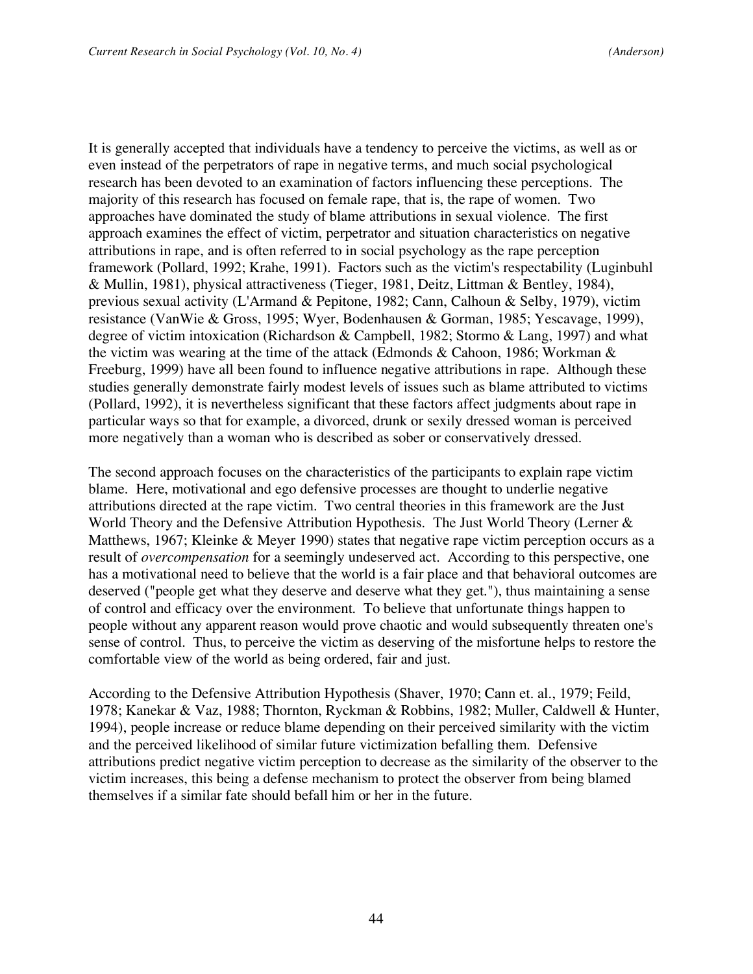It is generally accepted that individuals have a tendency to perceive the victims, as well as or even instead of the perpetrators of rape in negative terms, and much social psychological research has been devoted to an examination of factors influencing these perceptions. The majority of this research has focused on female rape, that is, the rape of women. Two approaches have dominated the study of blame attributions in sexual violence. The first approach examines the effect of victim, perpetrator and situation characteristics on negative attributions in rape, and is often referred to in social psychology as the rape perception framework (Pollard, 1992; Krahe, 1991). Factors such as the victim's respectability (Luginbuhl & Mullin, 1981), physical attractiveness (Tieger, 1981, Deitz, Littman & Bentley, 1984), previous sexual activity (L'Armand & Pepitone, 1982; Cann, Calhoun & Selby, 1979), victim resistance (VanWie & Gross, 1995; Wyer, Bodenhausen & Gorman, 1985; Yescavage, 1999), degree of victim intoxication (Richardson & Campbell, 1982; Stormo & Lang, 1997) and what the victim was wearing at the time of the attack (Edmonds & Cahoon, 1986; Workman & Freeburg, 1999) have all been found to influence negative attributions in rape. Although these studies generally demonstrate fairly modest levels of issues such as blame attributed to victims (Pollard, 1992), it is nevertheless significant that these factors affect judgments about rape in particular ways so that for example, a divorced, drunk or sexily dressed woman is perceived more negatively than a woman who is described as sober or conservatively dressed.

The second approach focuses on the characteristics of the participants to explain rape victim blame. Here, motivational and ego defensive processes are thought to underlie negative attributions directed at the rape victim. Two central theories in this framework are the Just World Theory and the Defensive Attribution Hypothesis. The Just World Theory (Lerner & Matthews, 1967; Kleinke & Meyer 1990) states that negative rape victim perception occurs as a result of *overcompensation* for a seemingly undeserved act. According to this perspective, one has a motivational need to believe that the world is a fair place and that behavioral outcomes are deserved ("people get what they deserve and deserve what they get."), thus maintaining a sense of control and efficacy over the environment. To believe that unfortunate things happen to people without any apparent reason would prove chaotic and would subsequently threaten one's sense of control. Thus, to perceive the victim as deserving of the misfortune helps to restore the comfortable view of the world as being ordered, fair and just.

According to the Defensive Attribution Hypothesis (Shaver, 1970; Cann et. al., 1979; Feild, 1978; Kanekar & Vaz, 1988; Thornton, Ryckman & Robbins, 1982; Muller, Caldwell & Hunter, 1994), people increase or reduce blame depending on their perceived similarity with the victim and the perceived likelihood of similar future victimization befalling them. Defensive attributions predict negative victim perception to decrease as the similarity of the observer to the victim increases, this being a defense mechanism to protect the observer from being blamed themselves if a similar fate should befall him or her in the future.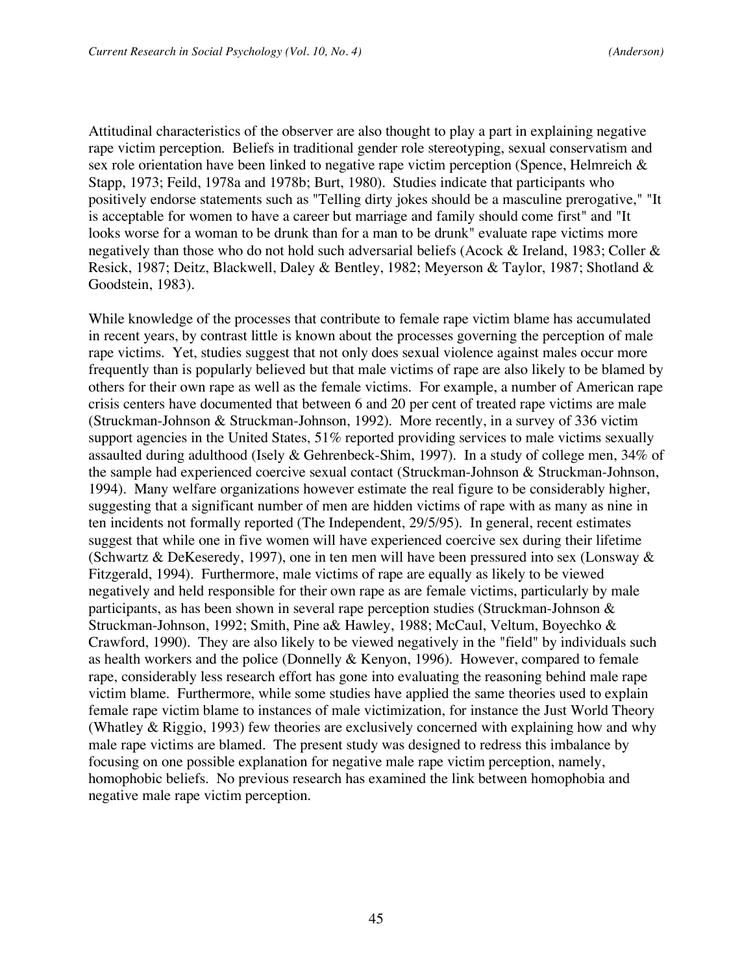Attitudinal characteristics of the observer are also thought to play a part in explaining negative rape victim perception. Beliefs in traditional gender role stereotyping, sexual conservatism and sex role orientation have been linked to negative rape victim perception (Spence, Helmreich & Stapp, 1973; Feild, 1978a and 1978b; Burt, 1980). Studies indicate that participants who positively endorse statements such as "Telling dirty jokes should be a masculine prerogative," "It is acceptable for women to have a career but marriage and family should come first" and "It looks worse for a woman to be drunk than for a man to be drunk" evaluate rape victims more negatively than those who do not hold such adversarial beliefs (Acock & Ireland, 1983; Coller & Resick, 1987; Deitz, Blackwell, Daley & Bentley, 1982; Meyerson & Taylor, 1987; Shotland & Goodstein, 1983).

While knowledge of the processes that contribute to female rape victim blame has accumulated in recent years, by contrast little is known about the processes governing the perception of male rape victims. Yet, studies suggest that not only does sexual violence against males occur more frequently than is popularly believed but that male victims of rape are also likely to be blamed by others for their own rape as well as the female victims. For example, a number of American rape crisis centers have documented that between 6 and 20 per cent of treated rape victims are male (Struckman-Johnson & Struckman-Johnson, 1992). More recently, in a survey of 336 victim support agencies in the United States, 51% reported providing services to male victims sexually assaulted during adulthood (Isely & Gehrenbeck-Shim, 1997). In a study of college men, 34% of the sample had experienced coercive sexual contact (Struckman-Johnson & Struckman-Johnson, 1994). Many welfare organizations however estimate the real figure to be considerably higher, suggesting that a significant number of men are hidden victims of rape with as many as nine in ten incidents not formally reported (The Independent, 29/5/95). In general, recent estimates suggest that while one in five women will have experienced coercive sex during their lifetime (Schwartz & DeKeseredy, 1997), one in ten men will have been pressured into sex (Lonsway & Fitzgerald, 1994). Furthermore, male victims of rape are equally as likely to be viewed negatively and held responsible for their own rape as are female victims, particularly by male participants, as has been shown in several rape perception studies (Struckman-Johnson & Struckman-Johnson, 1992; Smith, Pine a& Hawley, 1988; McCaul, Veltum, Boyechko & Crawford, 1990). They are also likely to be viewed negatively in the "field" by individuals such as health workers and the police (Donnelly & Kenyon, 1996). However, compared to female rape, considerably less research effort has gone into evaluating the reasoning behind male rape victim blame. Furthermore, while some studies have applied the same theories used to explain female rape victim blame to instances of male victimization, for instance the Just World Theory (Whatley & Riggio, 1993) few theories are exclusively concerned with explaining how and why male rape victims are blamed. The present study was designed to redress this imbalance by focusing on one possible explanation for negative male rape victim perception, namely, homophobic beliefs. No previous research has examined the link between homophobia and negative male rape victim perception.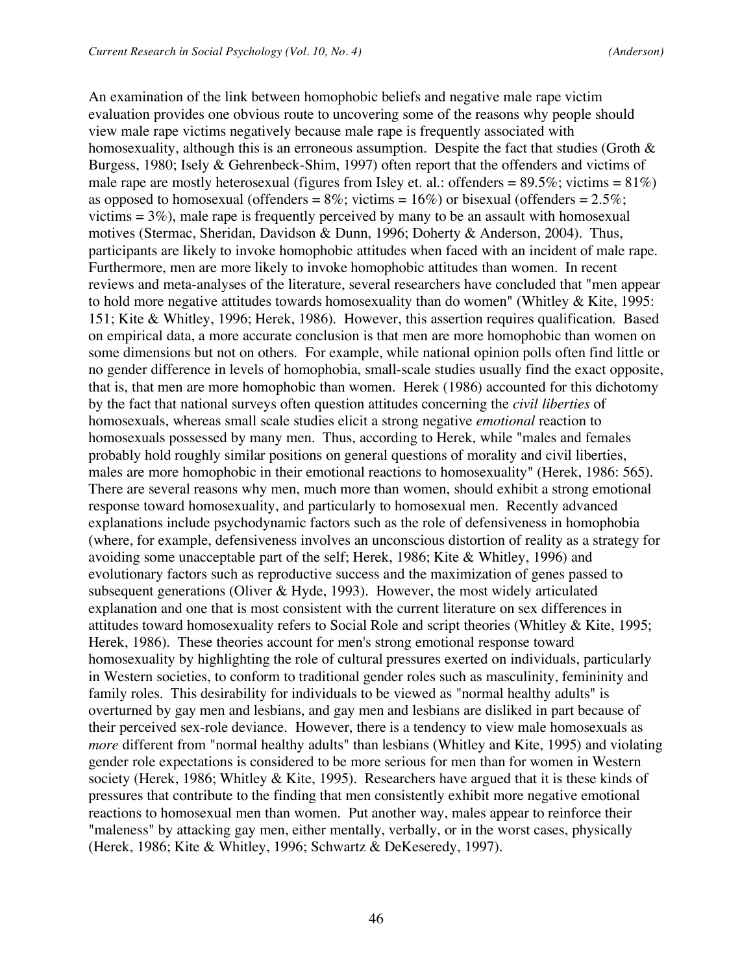An examination of the link between homophobic beliefs and negative male rape victim evaluation provides one obvious route to uncovering some of the reasons why people should view male rape victims negatively because male rape is frequently associated with homosexuality, although this is an erroneous assumption. Despite the fact that studies (Groth  $\&$ Burgess, 1980; Isely & Gehrenbeck-Shim, 1997) often report that the offenders and victims of male rape are mostly heterosexual (figures from Isley et. al.: offenders =  $89.5\%$ ; victims =  $81\%$ ) as opposed to homosexual (offenders =  $8\%$ ; victims =  $16\%$ ) or bisexual (offenders =  $2.5\%$ ; victims  $= 3\%$ ), male rape is frequently perceived by many to be an assault with homosexual motives (Stermac, Sheridan, Davidson & Dunn, 1996; Doherty & Anderson, 2004). Thus, participants are likely to invoke homophobic attitudes when faced with an incident of male rape. Furthermore, men are more likely to invoke homophobic attitudes than women. In recent reviews and meta-analyses of the literature, several researchers have concluded that "men appear to hold more negative attitudes towards homosexuality than do women" (Whitley  $&$  Kite, 1995: 151; Kite & Whitley, 1996; Herek, 1986). However, this assertion requires qualification. Based on empirical data, a more accurate conclusion is that men are more homophobic than women on some dimensions but not on others. For example, while national opinion polls often find little or no gender difference in levels of homophobia, small-scale studies usually find the exact opposite, that is, that men are more homophobic than women. Herek (1986) accounted for this dichotomy by the fact that national surveys often question attitudes concerning the *civil liberties* of homosexuals, whereas small scale studies elicit a strong negative *emotional* reaction to homosexuals possessed by many men. Thus, according to Herek, while "males and females probably hold roughly similar positions on general questions of morality and civil liberties, males are more homophobic in their emotional reactions to homosexuality" (Herek, 1986: 565). There are several reasons why men, much more than women, should exhibit a strong emotional response toward homosexuality, and particularly to homosexual men. Recently advanced explanations include psychodynamic factors such as the role of defensiveness in homophobia (where, for example, defensiveness involves an unconscious distortion of reality as a strategy for avoiding some unacceptable part of the self; Herek, 1986; Kite & Whitley, 1996) and evolutionary factors such as reproductive success and the maximization of genes passed to subsequent generations (Oliver & Hyde, 1993). However, the most widely articulated explanation and one that is most consistent with the current literature on sex differences in attitudes toward homosexuality refers to Social Role and script theories (Whitley & Kite, 1995; Herek, 1986). These theories account for men's strong emotional response toward homosexuality by highlighting the role of cultural pressures exerted on individuals, particularly in Western societies, to conform to traditional gender roles such as masculinity, femininity and family roles. This desirability for individuals to be viewed as "normal healthy adults" is overturned by gay men and lesbians, and gay men and lesbians are disliked in part because of their perceived sex-role deviance. However, there is a tendency to view male homosexuals as *more* different from "normal healthy adults" than lesbians (Whitley and Kite, 1995) and violating gender role expectations is considered to be more serious for men than for women in Western society (Herek, 1986; Whitley & Kite, 1995). Researchers have argued that it is these kinds of pressures that contribute to the finding that men consistently exhibit more negative emotional reactions to homosexual men than women. Put another way, males appear to reinforce their "maleness" by attacking gay men, either mentally, verbally, or in the worst cases, physically (Herek, 1986; Kite & Whitley, 1996; Schwartz & DeKeseredy, 1997).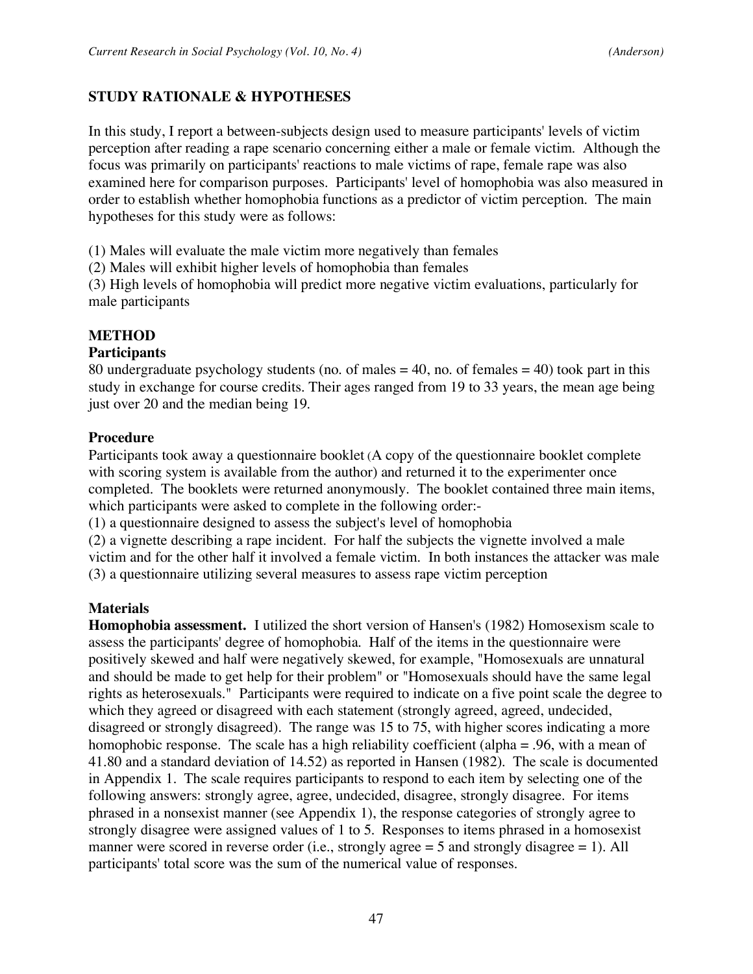### **STUDY RATIONALE & HYPOTHESES**

In this study, I report a between-subjects design used to measure participants' levels of victim perception after reading a rape scenario concerning either a male or female victim. Although the focus was primarily on participants' reactions to male victims of rape, female rape was also examined here for comparison purposes. Participants' level of homophobia was also measured in order to establish whether homophobia functions as a predictor of victim perception. The main hypotheses for this study were as follows:

(1) Males will evaluate the male victim more negatively than females

(2) Males will exhibit higher levels of homophobia than females

(3) High levels of homophobia will predict more negative victim evaluations, particularly for male participants

#### **METHOD**

#### **Participants**

80 undergraduate psychology students (no. of males  $= 40$ , no. of females  $= 40$ ) took part in this study in exchange for course credits. Their ages ranged from 19 to 33 years, the mean age being just over 20 and the median being 19.

#### **Procedure**

Participants took away a questionnaire booklet (A copy of the questionnaire booklet complete with scoring system is available from the author) and returned it to the experimenter once completed. The booklets were returned anonymously. The booklet contained three main items, which participants were asked to complete in the following order:-

(1) a questionnaire designed to assess the subject's level of homophobia

(2) a vignette describing a rape incident. For half the subjects the vignette involved a male victim and for the other half it involved a female victim. In both instances the attacker was male (3) a questionnaire utilizing several measures to assess rape victim perception

### **Materials**

**Homophobia assessment.** I utilized the short version of Hansen's (1982) Homosexism scale to assess the participants' degree of homophobia. Half of the items in the questionnaire were positively skewed and half were negatively skewed, for example, "Homosexuals are unnatural and should be made to get help for their problem" or "Homosexuals should have the same legal rights as heterosexuals." Participants were required to indicate on a five point scale the degree to which they agreed or disagreed with each statement (strongly agreed, agreed, undecided, disagreed or strongly disagreed). The range was 15 to 75, with higher scores indicating a more homophobic response. The scale has a high reliability coefficient (alpha = .96, with a mean of 41.80 and a standard deviation of 14.52) as reported in Hansen (1982). The scale is documented in Appendix 1. The scale requires participants to respond to each item by selecting one of the following answers: strongly agree, agree, undecided, disagree, strongly disagree. For items phrased in a nonsexist manner (see Appendix 1), the response categories of strongly agree to strongly disagree were assigned values of 1 to 5. Responses to items phrased in a homosexist manner were scored in reverse order (i.e., strongly agree = 5 and strongly disagree = 1). All participants' total score was the sum of the numerical value of responses.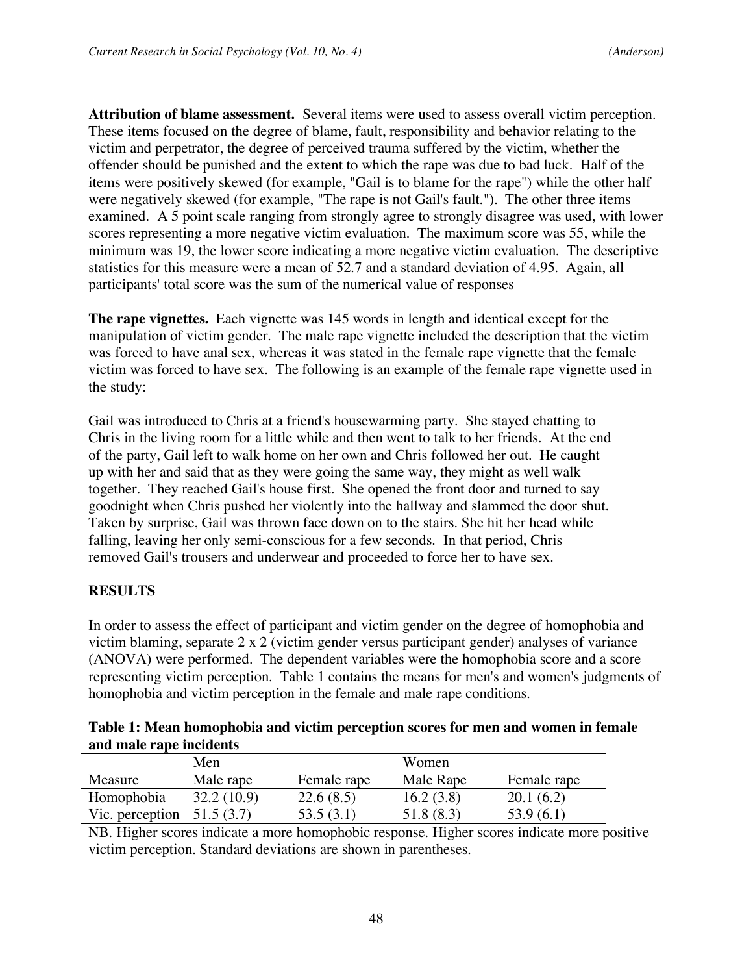**Attribution of blame assessment.** Several items were used to assess overall victim perception. These items focused on the degree of blame, fault, responsibility and behavior relating to the victim and perpetrator, the degree of perceived trauma suffered by the victim, whether the offender should be punished and the extent to which the rape was due to bad luck. Half of the items were positively skewed (for example, "Gail is to blame for the rape") while the other half were negatively skewed (for example, "The rape is not Gail's fault."). The other three items examined. A 5 point scale ranging from strongly agree to strongly disagree was used, with lower scores representing a more negative victim evaluation. The maximum score was 55, while the minimum was 19, the lower score indicating a more negative victim evaluation. The descriptive statistics for this measure were a mean of 52.7 and a standard deviation of 4.95. Again, all participants' total score was the sum of the numerical value of responses

**The rape vignettes.** Each vignette was 145 words in length and identical except for the manipulation of victim gender. The male rape vignette included the description that the victim was forced to have anal sex, whereas it was stated in the female rape vignette that the female victim was forced to have sex. The following is an example of the female rape vignette used in the study:

Gail was introduced to Chris at a friend's housewarming party. She stayed chatting to Chris in the living room for a little while and then went to talk to her friends. At the end of the party, Gail left to walk home on her own and Chris followed her out. He caught up with her and said that as they were going the same way, they might as well walk together. They reached Gail's house first. She opened the front door and turned to say goodnight when Chris pushed her violently into the hallway and slammed the door shut. Taken by surprise, Gail was thrown face down on to the stairs. She hit her head while falling, leaving her only semi-conscious for a few seconds. In that period, Chris removed Gail's trousers and underwear and proceeded to force her to have sex.

### **RESULTS**

In order to assess the effect of participant and victim gender on the degree of homophobia and victim blaming, separate 2 x 2 (victim gender versus participant gender) analyses of variance (ANOVA) were performed. The dependent variables were the homophobia score and a score representing victim perception. Table 1 contains the means for men's and women's judgments of homophobia and victim perception in the female and male rape conditions.

| Table 1: Mean homophobia and victim perception scores for men and women in female |  |  |
|-----------------------------------------------------------------------------------|--|--|
| and male rape incidents                                                           |  |  |

|                 | Men        |             | Women     |             |
|-----------------|------------|-------------|-----------|-------------|
| Measure         | Male rape  | Female rape | Male Rape | Female rape |
| Homophobia      | 32.2(10.9) | 22.6(8.5)   | 16.2(3.8) | 20.1(6.2)   |
| Vic. perception | 51.5 (3.7) | 53.5(3.1)   | 51.8(8.3) | 53.9(6.1)   |

NB. Higher scores indicate a more homophobic response. Higher scores indicate more positive victim perception. Standard deviations are shown in parentheses.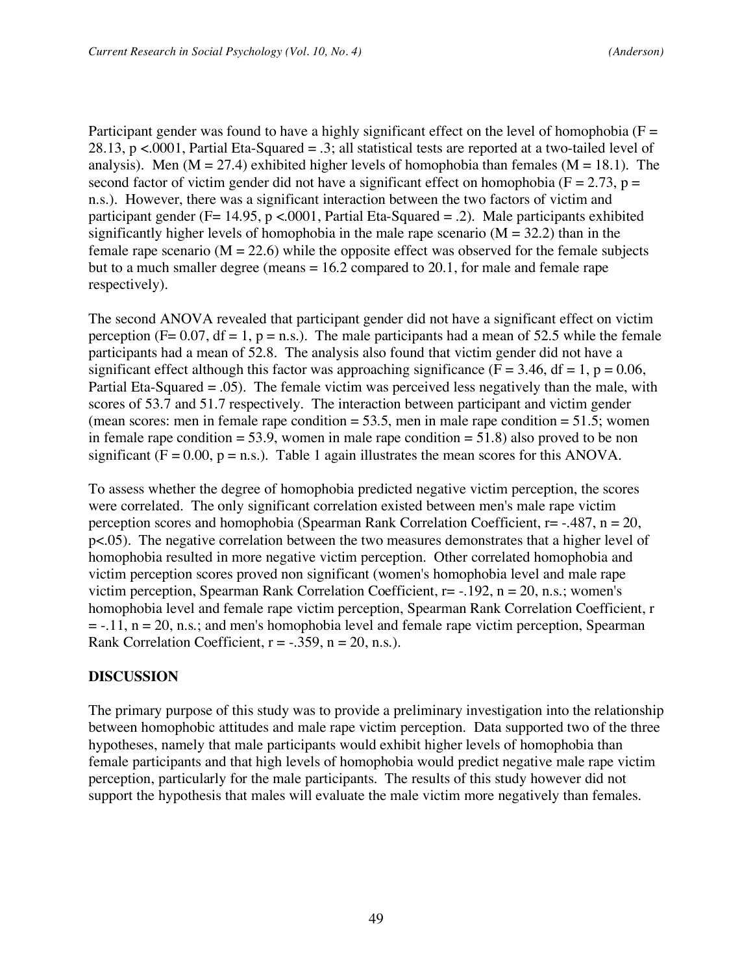Participant gender was found to have a highly significant effect on the level of homophobia ( $F =$ 28.13, p <.0001, Partial Eta-Squared = .3; all statistical tests are reported at a two-tailed level of analysis). Men ( $M = 27.4$ ) exhibited higher levels of homophobia than females ( $M = 18.1$ ). The second factor of victim gender did not have a significant effect on homophobia ( $F = 2.73$ ,  $p =$ n.s.). However, there was a significant interaction between the two factors of victim and participant gender ( $F= 14.95$ , p <.0001, Partial Eta-Squared = .2). Male participants exhibited significantly higher levels of homophobia in the male rape scenario  $(M = 32.2)$  than in the female rape scenario ( $M = 22.6$ ) while the opposite effect was observed for the female subjects but to a much smaller degree (means  $= 16.2$  compared to 20.1, for male and female rape respectively).

The second ANOVA revealed that participant gender did not have a significant effect on victim perception (F= 0.07, df = 1, p = n.s.). The male participants had a mean of 52.5 while the female participants had a mean of 52.8. The analysis also found that victim gender did not have a significant effect although this factor was approaching significance ( $F = 3.46$ , df = 1, p = 0.06, Partial Eta-Squared = .05). The female victim was perceived less negatively than the male, with scores of 53.7 and 51.7 respectively. The interaction between participant and victim gender (mean scores: men in female rape condition  $= 53.5$ , men in male rape condition  $= 51.5$ ; women in female rape condition  $= 53.9$ , women in male rape condition  $= 51.8$ ) also proved to be non significant ( $F = 0.00$ ,  $p = n.s$ .). Table 1 again illustrates the mean scores for this ANOVA.

To assess whether the degree of homophobia predicted negative victim perception, the scores were correlated. The only significant correlation existed between men's male rape victim perception scores and homophobia (Spearman Rank Correlation Coefficient, r= -.487, n = 20, p<.05). The negative correlation between the two measures demonstrates that a higher level of homophobia resulted in more negative victim perception. Other correlated homophobia and victim perception scores proved non significant (women's homophobia level and male rape victim perception, Spearman Rank Correlation Coefficient,  $r = -192$ ,  $n = 20$ , n.s.; women's homophobia level and female rape victim perception, Spearman Rank Correlation Coefficient, r  $= -.11$ ,  $n = 20$ , n.s.; and men's homophobia level and female rape victim perception, Spearman Rank Correlation Coefficient,  $r = -.359$ ,  $n = 20$ , n.s.).

### **DISCUSSION**

The primary purpose of this study was to provide a preliminary investigation into the relationship between homophobic attitudes and male rape victim perception. Data supported two of the three hypotheses, namely that male participants would exhibit higher levels of homophobia than female participants and that high levels of homophobia would predict negative male rape victim perception, particularly for the male participants. The results of this study however did not support the hypothesis that males will evaluate the male victim more negatively than females.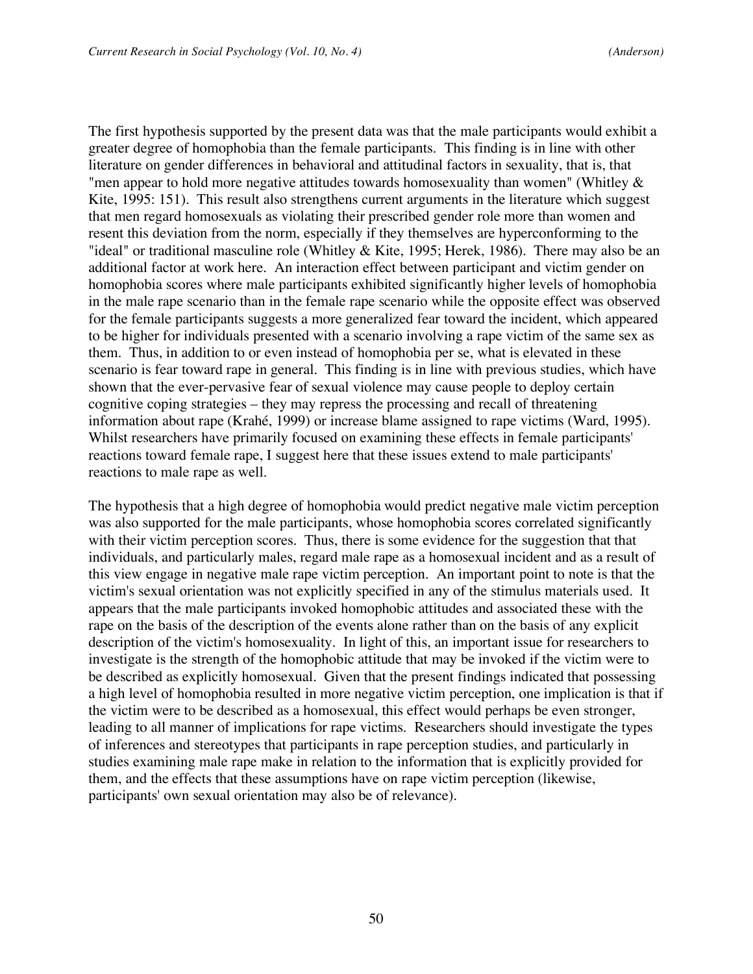The first hypothesis supported by the present data was that the male participants would exhibit a greater degree of homophobia than the female participants. This finding is in line with other literature on gender differences in behavioral and attitudinal factors in sexuality, that is, that "men appear to hold more negative attitudes towards homosexuality than women" (Whitley  $\&$ Kite, 1995: 151). This result also strengthens current arguments in the literature which suggest that men regard homosexuals as violating their prescribed gender role more than women and resent this deviation from the norm, especially if they themselves are hyperconforming to the "ideal" or traditional masculine role (Whitley & Kite, 1995; Herek, 1986). There may also be an additional factor at work here. An interaction effect between participant and victim gender on homophobia scores where male participants exhibited significantly higher levels of homophobia in the male rape scenario than in the female rape scenario while the opposite effect was observed for the female participants suggests a more generalized fear toward the incident, which appeared to be higher for individuals presented with a scenario involving a rape victim of the same sex as them. Thus, in addition to or even instead of homophobia per se, what is elevated in these scenario is fear toward rape in general. This finding is in line with previous studies, which have shown that the ever-pervasive fear of sexual violence may cause people to deploy certain cognitive coping strategies – they may repress the processing and recall of threatening information about rape (Krahé, 1999) or increase blame assigned to rape victims (Ward, 1995). Whilst researchers have primarily focused on examining these effects in female participants' reactions toward female rape, I suggest here that these issues extend to male participants' reactions to male rape as well.

The hypothesis that a high degree of homophobia would predict negative male victim perception was also supported for the male participants, whose homophobia scores correlated significantly with their victim perception scores. Thus, there is some evidence for the suggestion that that individuals, and particularly males, regard male rape as a homosexual incident and as a result of this view engage in negative male rape victim perception. An important point to note is that the victim's sexual orientation was not explicitly specified in any of the stimulus materials used. It appears that the male participants invoked homophobic attitudes and associated these with the rape on the basis of the description of the events alone rather than on the basis of any explicit description of the victim's homosexuality. In light of this, an important issue for researchers to investigate is the strength of the homophobic attitude that may be invoked if the victim were to be described as explicitly homosexual. Given that the present findings indicated that possessing a high level of homophobia resulted in more negative victim perception, one implication is that if the victim were to be described as a homosexual, this effect would perhaps be even stronger, leading to all manner of implications for rape victims. Researchers should investigate the types of inferences and stereotypes that participants in rape perception studies, and particularly in studies examining male rape make in relation to the information that is explicitly provided for them, and the effects that these assumptions have on rape victim perception (likewise, participants' own sexual orientation may also be of relevance).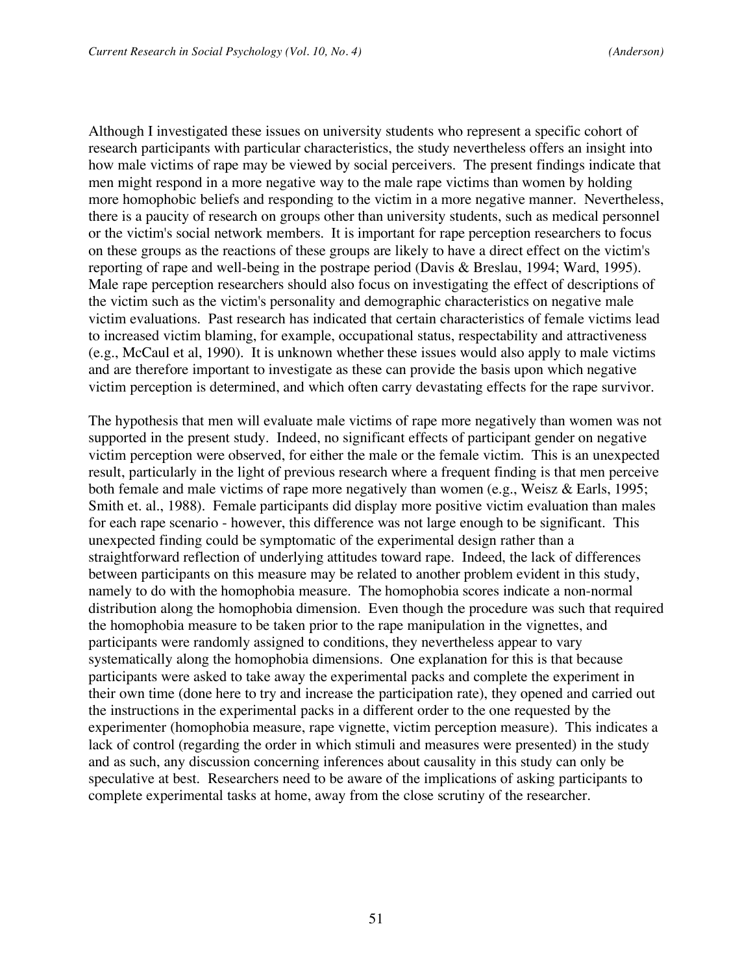Although I investigated these issues on university students who represent a specific cohort of research participants with particular characteristics, the study nevertheless offers an insight into how male victims of rape may be viewed by social perceivers. The present findings indicate that men might respond in a more negative way to the male rape victims than women by holding more homophobic beliefs and responding to the victim in a more negative manner. Nevertheless, there is a paucity of research on groups other than university students, such as medical personnel or the victim's social network members. It is important for rape perception researchers to focus on these groups as the reactions of these groups are likely to have a direct effect on the victim's reporting of rape and well-being in the postrape period (Davis & Breslau, 1994; Ward, 1995). Male rape perception researchers should also focus on investigating the effect of descriptions of the victim such as the victim's personality and demographic characteristics on negative male victim evaluations. Past research has indicated that certain characteristics of female victims lead to increased victim blaming, for example, occupational status, respectability and attractiveness (e.g., McCaul et al, 1990). It is unknown whether these issues would also apply to male victims and are therefore important to investigate as these can provide the basis upon which negative victim perception is determined, and which often carry devastating effects for the rape survivor.

The hypothesis that men will evaluate male victims of rape more negatively than women was not supported in the present study. Indeed, no significant effects of participant gender on negative victim perception were observed, for either the male or the female victim. This is an unexpected result, particularly in the light of previous research where a frequent finding is that men perceive both female and male victims of rape more negatively than women (e.g., Weisz & Earls, 1995; Smith et. al., 1988). Female participants did display more positive victim evaluation than males for each rape scenario - however, this difference was not large enough to be significant. This unexpected finding could be symptomatic of the experimental design rather than a straightforward reflection of underlying attitudes toward rape. Indeed, the lack of differences between participants on this measure may be related to another problem evident in this study, namely to do with the homophobia measure. The homophobia scores indicate a non-normal distribution along the homophobia dimension. Even though the procedure was such that required the homophobia measure to be taken prior to the rape manipulation in the vignettes, and participants were randomly assigned to conditions, they nevertheless appear to vary systematically along the homophobia dimensions. One explanation for this is that because participants were asked to take away the experimental packs and complete the experiment in their own time (done here to try and increase the participation rate), they opened and carried out the instructions in the experimental packs in a different order to the one requested by the experimenter (homophobia measure, rape vignette, victim perception measure). This indicates a lack of control (regarding the order in which stimuli and measures were presented) in the study and as such, any discussion concerning inferences about causality in this study can only be speculative at best. Researchers need to be aware of the implications of asking participants to complete experimental tasks at home, away from the close scrutiny of the researcher.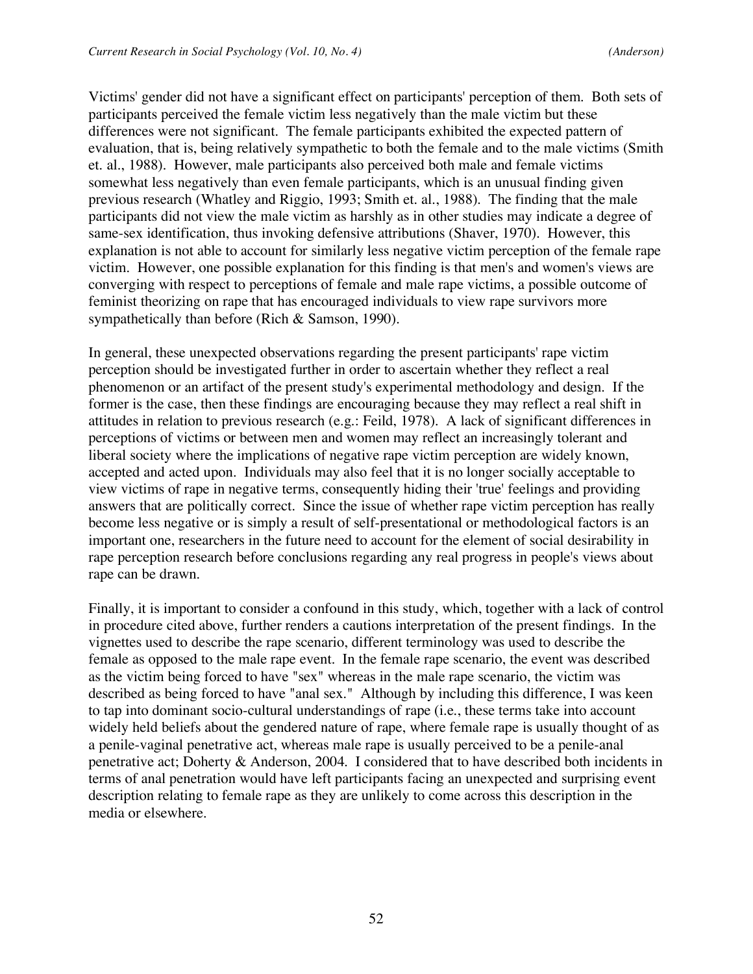Victims' gender did not have a significant effect on participants' perception of them. Both sets of participants perceived the female victim less negatively than the male victim but these differences were not significant. The female participants exhibited the expected pattern of evaluation, that is, being relatively sympathetic to both the female and to the male victims (Smith et. al., 1988). However, male participants also perceived both male and female victims somewhat less negatively than even female participants, which is an unusual finding given previous research (Whatley and Riggio, 1993; Smith et. al., 1988). The finding that the male participants did not view the male victim as harshly as in other studies may indicate a degree of same-sex identification, thus invoking defensive attributions (Shaver, 1970). However, this explanation is not able to account for similarly less negative victim perception of the female rape victim. However, one possible explanation for this finding is that men's and women's views are converging with respect to perceptions of female and male rape victims, a possible outcome of feminist theorizing on rape that has encouraged individuals to view rape survivors more sympathetically than before (Rich & Samson, 1990).

In general, these unexpected observations regarding the present participants' rape victim perception should be investigated further in order to ascertain whether they reflect a real phenomenon or an artifact of the present study's experimental methodology and design. If the former is the case, then these findings are encouraging because they may reflect a real shift in attitudes in relation to previous research (e.g.: Feild, 1978). A lack of significant differences in perceptions of victims or between men and women may reflect an increasingly tolerant and liberal society where the implications of negative rape victim perception are widely known, accepted and acted upon. Individuals may also feel that it is no longer socially acceptable to view victims of rape in negative terms, consequently hiding their 'true' feelings and providing answers that are politically correct. Since the issue of whether rape victim perception has really become less negative or is simply a result of self-presentational or methodological factors is an important one, researchers in the future need to account for the element of social desirability in rape perception research before conclusions regarding any real progress in people's views about rape can be drawn.

Finally, it is important to consider a confound in this study, which, together with a lack of control in procedure cited above, further renders a cautions interpretation of the present findings. In the vignettes used to describe the rape scenario, different terminology was used to describe the female as opposed to the male rape event. In the female rape scenario, the event was described as the victim being forced to have "sex" whereas in the male rape scenario, the victim was described as being forced to have "anal sex." Although by including this difference, I was keen to tap into dominant socio-cultural understandings of rape (i.e., these terms take into account widely held beliefs about the gendered nature of rape, where female rape is usually thought of as a penile-vaginal penetrative act, whereas male rape is usually perceived to be a penile-anal penetrative act; Doherty & Anderson, 2004. I considered that to have described both incidents in terms of anal penetration would have left participants facing an unexpected and surprising event description relating to female rape as they are unlikely to come across this description in the media or elsewhere.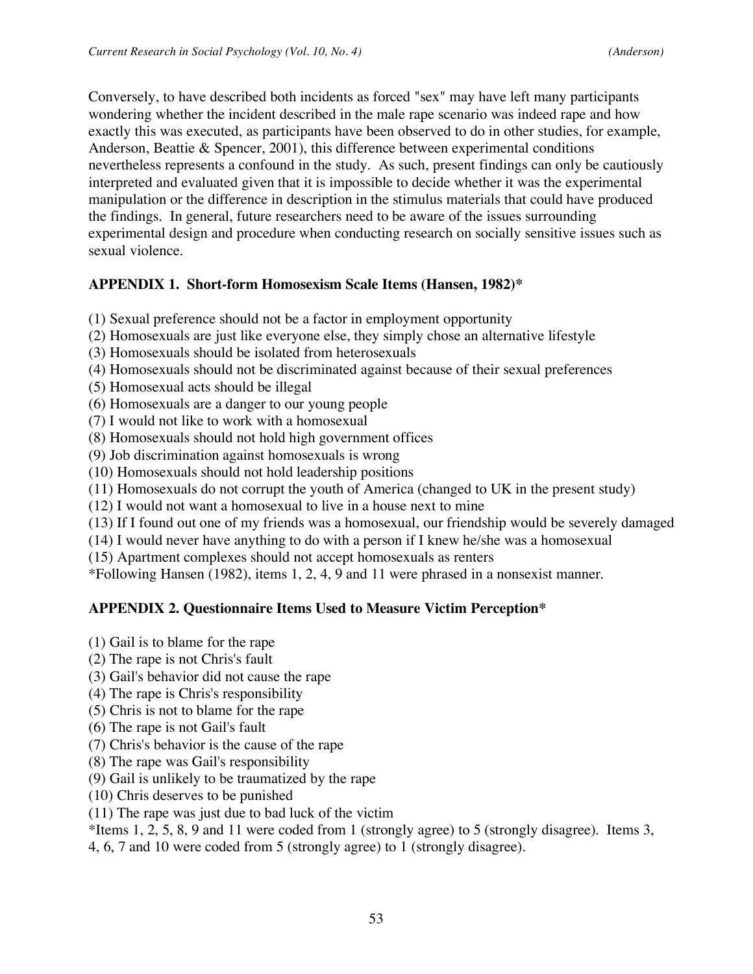Conversely, to have described both incidents as forced "sex" may have left many participants wondering whether the incident described in the male rape scenario was indeed rape and how exactly this was executed, as participants have been observed to do in other studies, for example, Anderson, Beattie & Spencer, 2001), this difference between experimental conditions nevertheless represents a confound in the study. As such, present findings can only be cautiously interpreted and evaluated given that it is impossible to decide whether it was the experimental manipulation or the difference in description in the stimulus materials that could have produced the findings. In general, future researchers need to be aware of the issues surrounding experimental design and procedure when conducting research on socially sensitive issues such as sexual violence.

# **APPENDIX 1. Short-form Homosexism Scale Items (Hansen, 1982)\***

- (1) Sexual preference should not be a factor in employment opportunity
- (2) Homosexuals are just like everyone else, they simply chose an alternative lifestyle
- (3) Homosexuals should be isolated from heterosexuals
- (4) Homosexuals should not be discriminated against because of their sexual preferences
- (5) Homosexual acts should be illegal
- (6) Homosexuals are a danger to our young people
- (7) I would not like to work with a homosexual
- (8) Homosexuals should not hold high government offices
- (9) Job discrimination against homosexuals is wrong
- (10) Homosexuals should not hold leadership positions
- (11) Homosexuals do not corrupt the youth of America (changed to UK in the present study)
- (12) I would not want a homosexual to live in a house next to mine
- (13) If I found out one of my friends was a homosexual, our friendship would be severely damaged
- (14) I would never have anything to do with a person if I knew he/she was a homosexual
- (15) Apartment complexes should not accept homosexuals as renters
- \*Following Hansen (1982), items 1, 2, 4, 9 and 11 were phrased in a nonsexist manner.

### **APPENDIX 2. Questionnaire Items Used to Measure Victim Perception\***

- (1) Gail is to blame for the rape
- (2) The rape is not Chris's fault
- (3) Gail's behavior did not cause the rape
- (4) The rape is Chris's responsibility
- (5) Chris is not to blame for the rape
- (6) The rape is not Gail's fault
- (7) Chris's behavior is the cause of the rape
- (8) The rape was Gail's responsibility
- (9) Gail is unlikely to be traumatized by the rape
- (10) Chris deserves to be punished
- (11) The rape was just due to bad luck of the victim

\*Items 1, 2, 5, 8, 9 and 11 were coded from 1 (strongly agree) to 5 (strongly disagree). Items 3,

4, 6, 7 and 10 were coded from 5 (strongly agree) to 1 (strongly disagree).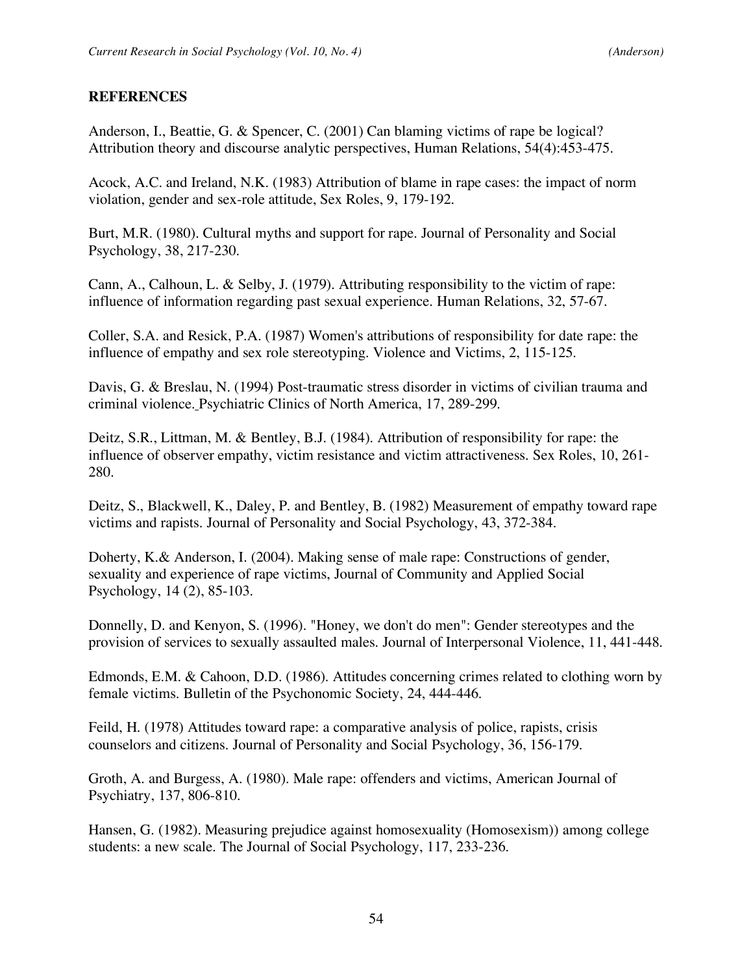#### **REFERENCES**

Anderson, I., Beattie, G. & Spencer, C. (2001) Can blaming victims of rape be logical? Attribution theory and discourse analytic perspectives, Human Relations, 54(4):453-475.

Acock, A.C. and Ireland, N.K. (1983) Attribution of blame in rape cases: the impact of norm violation, gender and sex-role attitude, Sex Roles, 9, 179-192.

Burt, M.R. (1980). Cultural myths and support for rape. Journal of Personality and Social Psychology, 38, 217-230.

Cann, A., Calhoun, L. & Selby, J. (1979). Attributing responsibility to the victim of rape: influence of information regarding past sexual experience. Human Relations, 32, 57-67.

Coller, S.A. and Resick, P.A. (1987) Women's attributions of responsibility for date rape: the influence of empathy and sex role stereotyping. Violence and Victims, 2, 115-125.

Davis, G. & Breslau, N. (1994) Post-traumatic stress disorder in victims of civilian trauma and criminal violence. Psychiatric Clinics of North America, 17, 289-299.

Deitz, S.R., Littman, M. & Bentley, B.J. (1984). Attribution of responsibility for rape: the influence of observer empathy, victim resistance and victim attractiveness. Sex Roles, 10, 261- 280.

Deitz, S., Blackwell, K., Daley, P. and Bentley, B. (1982) Measurement of empathy toward rape victims and rapists. Journal of Personality and Social Psychology, 43, 372-384.

Doherty, K.& Anderson, I. (2004). Making sense of male rape: Constructions of gender, sexuality and experience of rape victims, Journal of Community and Applied Social Psychology, 14 (2), 85-103.

Donnelly, D. and Kenyon, S. (1996). "Honey, we don't do men": Gender stereotypes and the provision of services to sexually assaulted males. Journal of Interpersonal Violence, 11, 441-448.

Edmonds, E.M. & Cahoon, D.D. (1986). Attitudes concerning crimes related to clothing worn by female victims. Bulletin of the Psychonomic Society, 24, 444-446.

Feild, H. (1978) Attitudes toward rape: a comparative analysis of police, rapists, crisis counselors and citizens. Journal of Personality and Social Psychology, 36, 156-179.

Groth, A. and Burgess, A. (1980). Male rape: offenders and victims, American Journal of Psychiatry, 137, 806-810.

Hansen, G. (1982). Measuring prejudice against homosexuality (Homosexism)) among college students: a new scale. The Journal of Social Psychology, 117, 233-236.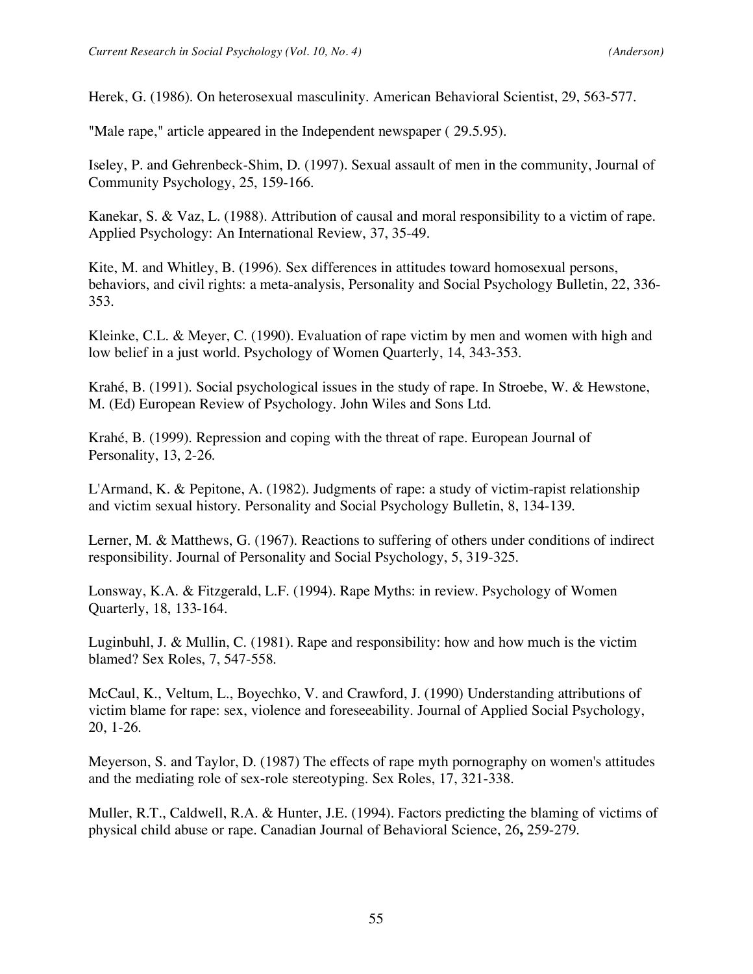Herek, G. (1986). On heterosexual masculinity. American Behavioral Scientist, 29, 563-577.

"Male rape," article appeared in the Independent newspaper ( 29.5.95).

Iseley, P. and Gehrenbeck-Shim, D. (1997). Sexual assault of men in the community, Journal of Community Psychology, 25, 159-166.

Kanekar, S. & Vaz, L. (1988). Attribution of causal and moral responsibility to a victim of rape. Applied Psychology: An International Review, 37, 35-49.

Kite, M. and Whitley, B. (1996). Sex differences in attitudes toward homosexual persons, behaviors, and civil rights: a meta-analysis, Personality and Social Psychology Bulletin, 22, 336- 353.

Kleinke, C.L. & Meyer, C. (1990). Evaluation of rape victim by men and women with high and low belief in a just world. Psychology of Women Quarterly, 14, 343-353.

Krahé, B. (1991). Social psychological issues in the study of rape. In Stroebe, W. & Hewstone, M. (Ed) European Review of Psychology. John Wiles and Sons Ltd.

Krahé, B. (1999). Repression and coping with the threat of rape. European Journal of Personality, 13, 2-26.

L'Armand, K. & Pepitone, A. (1982). Judgments of rape: a study of victim-rapist relationship and victim sexual history. Personality and Social Psychology Bulletin, 8, 134-139.

Lerner, M. & Matthews, G. (1967). Reactions to suffering of others under conditions of indirect responsibility. Journal of Personality and Social Psychology, 5, 319-325.

Lonsway, K.A. & Fitzgerald, L.F. (1994). Rape Myths: in review. Psychology of Women Quarterly, 18, 133-164.

Luginbuhl, J. & Mullin, C. (1981). Rape and responsibility: how and how much is the victim blamed? Sex Roles, 7, 547-558.

McCaul, K., Veltum, L., Boyechko, V. and Crawford, J. (1990) Understanding attributions of victim blame for rape: sex, violence and foreseeability. Journal of Applied Social Psychology, 20, 1-26.

Meyerson, S. and Taylor, D. (1987) The effects of rape myth pornography on women's attitudes and the mediating role of sex-role stereotyping. Sex Roles, 17, 321-338.

Muller, R.T., Caldwell, R.A. & Hunter, J.E. (1994). Factors predicting the blaming of victims of physical child abuse or rape. Canadian Journal of Behavioral Science, 26**,** 259-279.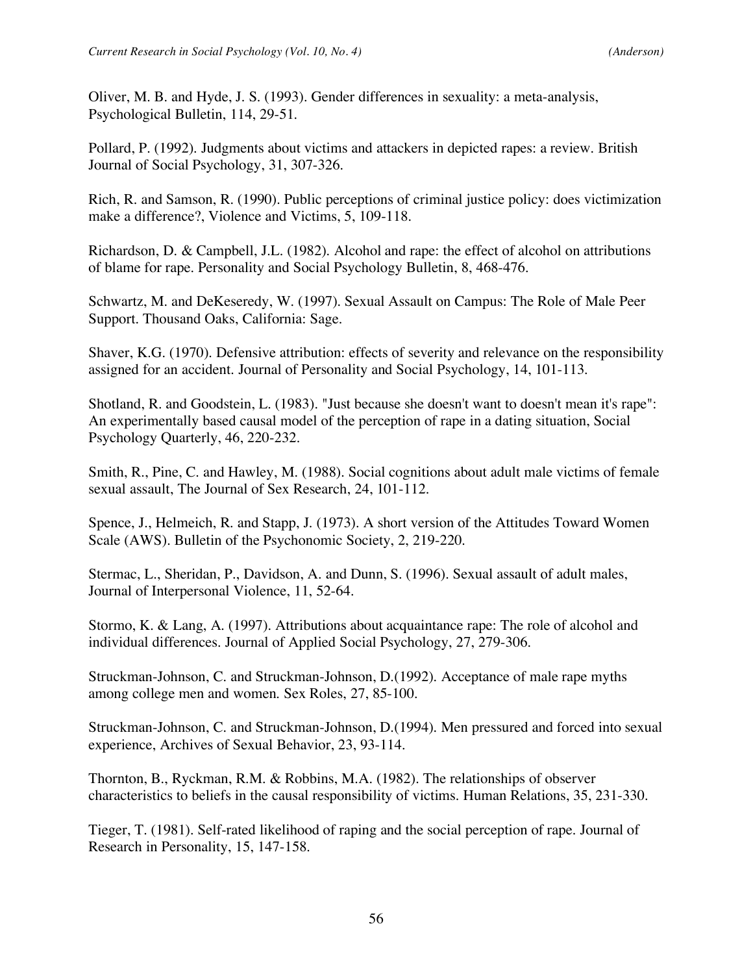Oliver, M. B. and Hyde, J. S. (1993). Gender differences in sexuality: a meta-analysis, Psychological Bulletin, 114, 29-51.

Pollard, P. (1992). Judgments about victims and attackers in depicted rapes: a review. British Journal of Social Psychology, 31, 307-326.

Rich, R. and Samson, R. (1990). Public perceptions of criminal justice policy: does victimization make a difference?, Violence and Victims, 5, 109-118.

Richardson, D. & Campbell, J.L. (1982). Alcohol and rape: the effect of alcohol on attributions of blame for rape. Personality and Social Psychology Bulletin, 8, 468-476.

Schwartz, M. and DeKeseredy, W. (1997). Sexual Assault on Campus: The Role of Male Peer Support. Thousand Oaks, California: Sage.

Shaver, K.G. (1970). Defensive attribution: effects of severity and relevance on the responsibility assigned for an accident. Journal of Personality and Social Psychology, 14, 101-113.

Shotland, R. and Goodstein, L. (1983). "Just because she doesn't want to doesn't mean it's rape": An experimentally based causal model of the perception of rape in a dating situation, Social Psychology Quarterly, 46, 220-232.

Smith, R., Pine, C. and Hawley, M. (1988). Social cognitions about adult male victims of female sexual assault, The Journal of Sex Research, 24, 101-112.

Spence, J., Helmeich, R. and Stapp, J. (1973). A short version of the Attitudes Toward Women Scale (AWS). Bulletin of the Psychonomic Society, 2, 219-220.

Stermac, L., Sheridan, P., Davidson, A. and Dunn, S. (1996). Sexual assault of adult males, Journal of Interpersonal Violence, 11, 52-64.

Stormo, K. & Lang, A. (1997). Attributions about acquaintance rape: The role of alcohol and individual differences. Journal of Applied Social Psychology, 27, 279-306.

Struckman-Johnson, C. and Struckman-Johnson, D.(1992). Acceptance of male rape myths among college men and women. Sex Roles, 27, 85-100.

Struckman-Johnson, C. and Struckman-Johnson, D.(1994). Men pressured and forced into sexual experience, Archives of Sexual Behavior, 23, 93-114.

Thornton, B., Ryckman, R.M. & Robbins, M.A. (1982). The relationships of observer characteristics to beliefs in the causal responsibility of victims. Human Relations, 35, 231-330.

Tieger, T. (1981). Self-rated likelihood of raping and the social perception of rape. Journal of Research in Personality, 15, 147-158.